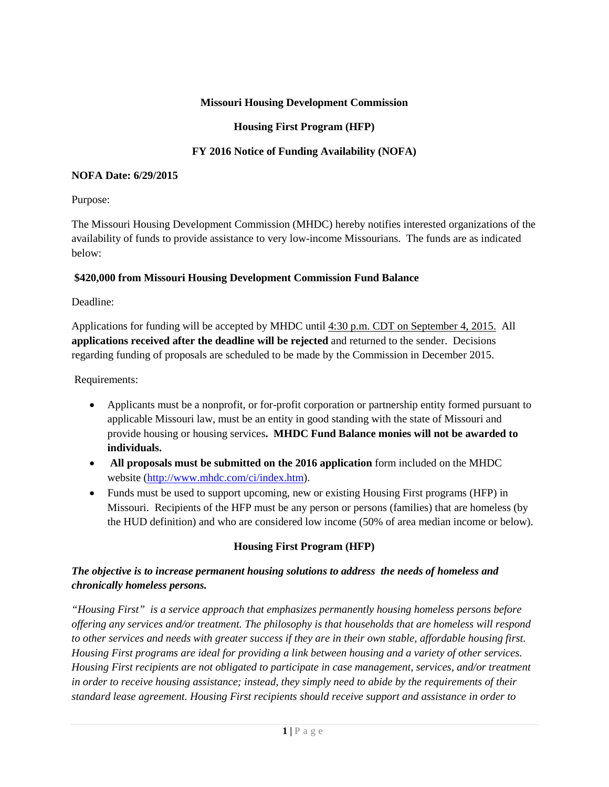### **Missouri Housing Development Commission**

#### **Housing First Program (HFP)**

## **FY 2016 Notice of Funding Availability (NOFA)**

#### **NOFA Date: 6/29/2015**

### Purpose:

The Missouri Housing Development Commission (MHDC) hereby notifies interested organizations of the availability of funds to provide assistance to very low-income Missourians. The funds are as indicated below:

#### **\$420,000 from Missouri Housing Development Commission Fund Balance**

### Deadline:

Applications for funding will be accepted by MHDC until 4:30 p.m. CDT on September 4, 2015. All **applications received after the deadline will be rejected** and returned to the sender. Decisions regarding funding of proposals are scheduled to be made by the Commission in December 2015.

Requirements:

- Applicants must be a nonprofit, or for-profit corporation or partnership entity formed pursuant to applicable Missouri law, must be an entity in good standing with the state of Missouri and provide housing or housing services**. MHDC Fund Balance monies will not be awarded to individuals.**
- **All proposals must be submitted on the 2016 application** form included on the MHDC website [\(http://www.mhdc.com/ci/index.htm\)](http://www.mhdc.com/ci/index.htm).
- Funds must be used to support upcoming, new or existing Housing First programs (HFP) in Missouri. Recipients of the HFP must be any person or persons (families) that are homeless (by the HUD definition) and who are considered low income (50% of area median income or below).

# **Housing First Program (HFP)**

# *The objective is to increase permanent housing solutions to address the needs of homeless and chronically homeless persons.*

*"Housing First" is a service approach that emphasizes permanently housing homeless persons before offering any services and/or treatment. The philosophy is that households that are homeless will respond*  to other services and needs with greater success if they are in their own stable, affordable housing first. *Housing First programs are ideal for providing a link between housing and a variety of other services. Housing First recipients are not obligated to participate in case management, services, and/or treatment in order to receive housing assistance; instead, they simply need to abide by the requirements of their standard lease agreement. Housing First recipients should receive support and assistance in order to*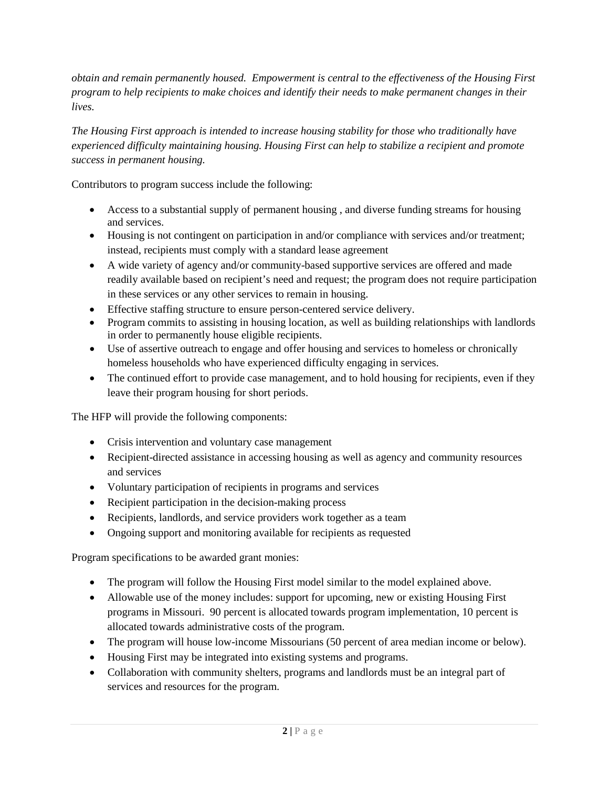*obtain and remain permanently housed. Empowerment is central to the effectiveness of the Housing First program to help recipients to make choices and identify their needs to make permanent changes in their lives.*

*The Housing First approach is intended to increase housing stability for those who traditionally have experienced difficulty maintaining housing. Housing First can help to stabilize a recipient and promote success in permanent housing.* 

Contributors to program success include the following:

- Access to a substantial supply of permanent housing , and diverse funding streams for housing and services.
- Housing is not contingent on participation in and/or compliance with services and/or treatment; instead, recipients must comply with a standard lease agreement
- A wide variety of agency and/or community-based supportive services are offered and made readily available based on recipient's need and request; the program does not require participation in these services or any other services to remain in housing.
- Effective staffing structure to ensure person-centered service delivery.
- Program commits to assisting in housing location, as well as building relationships with landlords in order to permanently house eligible recipients.
- Use of assertive outreach to engage and offer housing and services to homeless or chronically homeless households who have experienced difficulty engaging in services.
- The continued effort to provide case management, and to hold housing for recipients, even if they leave their program housing for short periods.

The HFP will provide the following components:

- Crisis intervention and voluntary case management
- Recipient-directed assistance in accessing housing as well as agency and community resources and services
- Voluntary participation of recipients in programs and services
- Recipient participation in the decision-making process
- Recipients, landlords, and service providers work together as a team
- Ongoing support and monitoring available for recipients as requested

Program specifications to be awarded grant monies:

- The program will follow the Housing First model similar to the model explained above.
- Allowable use of the money includes: support for upcoming, new or existing Housing First programs in Missouri. 90 percent is allocated towards program implementation, 10 percent is allocated towards administrative costs of the program.
- The program will house low-income Missourians (50 percent of area median income or below).
- Housing First may be integrated into existing systems and programs.
- Collaboration with community shelters, programs and landlords must be an integral part of services and resources for the program.